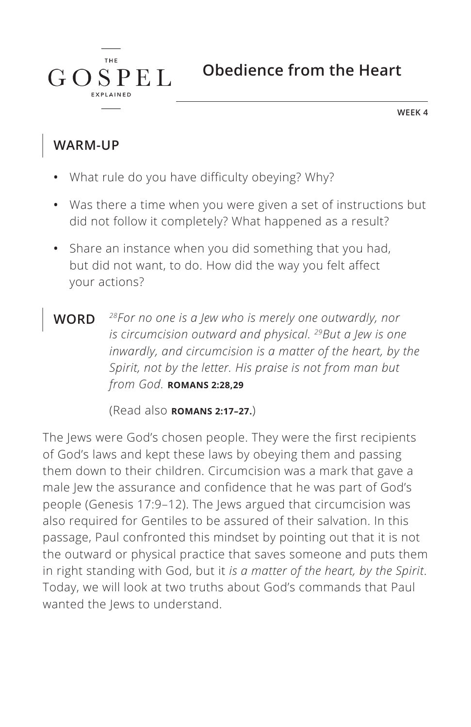**Obedience from the Heart**

**WEEK 4**

#### **WARM-UP**

 $G \Omega$ 

**THE** 

**SPEL** 

- **•** What rule do you have difficulty obeying? Why?
- **•** Was there a time when you were given a set of instructions but did not follow it completely? What happened as a result?
- **•** Share an instance when you did something that you had, but did not want, to do. How did the way you felt affect your actions?
- **WORD** *28For no one is a Jew who is merely one outwardly, nor is circumcision outward and physical. 29But a Jew is one inwardly, and circumcision is a matter of the heart, by the Spirit, not by the letter. His praise is not from man but from God. ^***ROMANS 2:28,29**

(Read also **ROMANS 2:17-27.**)

The Jews were God's chosen people. They were the first recipients of God's laws and kept these laws by obeying them and passing them down to their children. Circumcision was a mark that gave a male Jew the assurance and confidence that he was part of God's people (Genesis 17:9–12). The Jews argued that circumcision was also required for Gentiles to be assured of their salvation. In this passage, Paul confronted this mindset by pointing out that it is not the outward or physical practice that saves someone and puts them in right standing with God, but it *is a matter of the heart, by the Spirit*. Today, we will look at two truths about God's commands that Paul wanted the Jews to understand.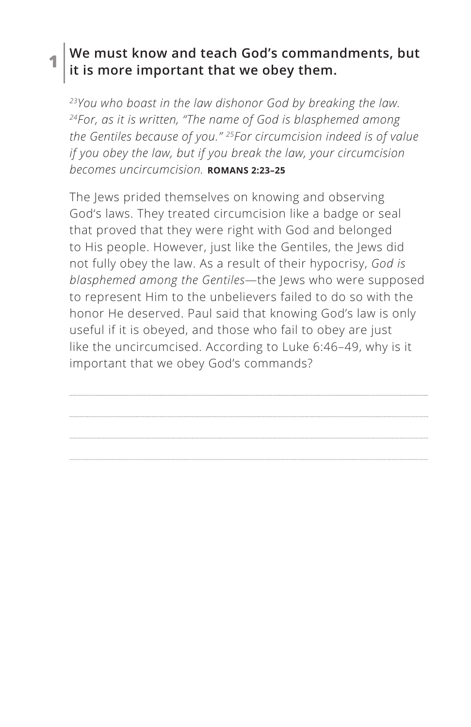#### **1 We must know and teach God's commandments, but it is more important that we obey them.**

*23You who boast in the law dishonor God by breaking the law. 24For, as it is written, "The name of God is blasphemed among the Gentiles because of you." 25For circumcision indeed is of value if you obey the law, but if you break the law, your circumcision becomes uncircumcision. ^***ROMANS 2:23–25**

The Jews prided themselves on knowing and observing God's laws. They treated circumcision like a badge or seal that proved that they were right with God and belonged to His people. However, just like the Gentiles, the Jews did not fully obey the law. As a result of their hypocrisy, *God is blasphemed among the Gentiles*—the Jews who were supposed to represent Him to the unbelievers failed to do so with the honor He deserved. Paul said that knowing God's law is only useful if it is obeyed, and those who fail to obey are just like the uncircumcised. According to Luke 6:46–49, why is it important that we obey God's commands?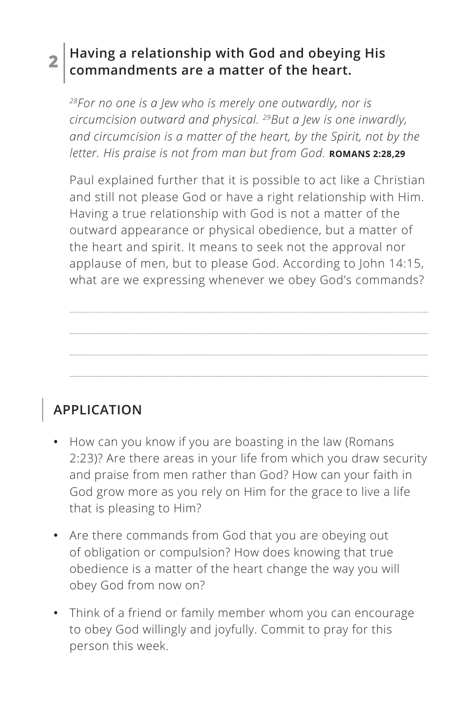### **2 Having a relationship with God and obeying His commandments are a matter of the heart.**

*28For no one is a Jew who is merely one outwardly, nor is circumcision outward and physical. 29But a Jew is one inwardly, and circumcision is a matter of the heart, by the Spirit, not by the letter. His praise is not from man but from God.* **ROMANS 2:28,29** 

Paul explained further that it is possible to act like a Christian and still not please God or have a right relationship with Him. Having a true relationship with God is not a matter of the outward appearance or physical obedience, but a matter of the heart and spirit. It means to seek not the approval nor applause of men, but to please God. According to John 14:15, what are we expressing whenever we obey God's commands?

# **APPLICATION**

- **•** How can you know if you are boasting in the law (Romans 2:23)? Are there areas in your life from which you draw security and praise from men rather than God? How can your faith in God grow more as you rely on Him for the grace to live a life that is pleasing to Him?
- **•** Are there commands from God that you are obeying out of obligation or compulsion? How does knowing that true obedience is a matter of the heart change the way you will obey God from now on?
- **•** Think of a friend or family member whom you can encourage to obey God willingly and joyfully. Commit to pray for this person this week.